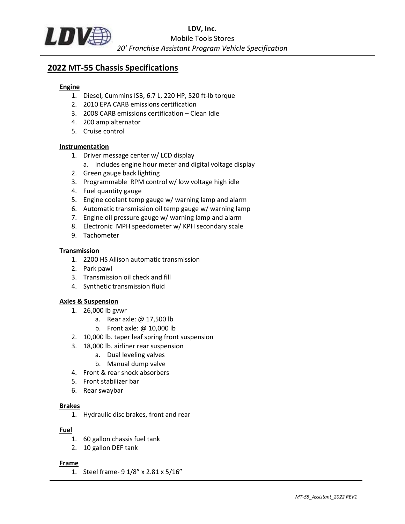

# 2022 MT-55 Chassis Specifications

### Engine

- 1. Diesel, Cummins ISB, 6.7 L, 220 HP, 520 ft-lb torque
- 2. 2010 EPA CARB emissions certification
- 3. 2008 CARB emissions certification Clean Idle
- 4. 200 amp alternator
- 5. Cruise control

#### Instrumentation

- 1. Driver message center w/ LCD display
	- a. Includes engine hour meter and digital voltage display
- 2. Green gauge back lighting
- 3. Programmable RPM control w/ low voltage high idle
- 4. Fuel quantity gauge
- 5. Engine coolant temp gauge w/ warning lamp and alarm
- 6. Automatic transmission oil temp gauge w/ warning lamp
- 7. Engine oil pressure gauge w/ warning lamp and alarm
- 8. Electronic MPH speedometer w/ KPH secondary scale
- 9. Tachometer

#### **Transmission**

- 1. 2200 HS Allison automatic transmission
- 2. Park pawl
- 3. Transmission oil check and fill
- 4. Synthetic transmission fluid

#### Axles & Suspension

- 1. 26,000 lb gvwr
	- a. Rear axle: @ 17,500 lb
	- b. Front axle: @ 10,000 lb
- 2. 10,000 lb. taper leaf spring front suspension
- 3. 18,000 lb. airliner rear suspension
	- a. Dual leveling valves
	- b. Manual dump valve
- 4. Front & rear shock absorbers
- 5. Front stabilizer bar
- 6. Rear swaybar

#### Brakes

1. Hydraulic disc brakes, front and rear

#### Fuel

- 1. 60 gallon chassis fuel tank
- 2. 10 gallon DEF tank

#### Frame

1. Steel frame- 9 1/8" x 2.81 x 5/16"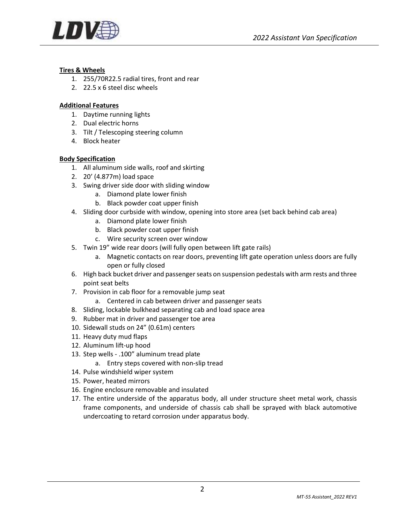

# Tires & Wheels

- 1. 255/70R22.5 radial tires, front and rear
- 2. 22.5 x 6 steel disc wheels

### Additional Features

- 1. Daytime running lights
- 2. Dual electric horns
- 3. Tilt / Telescoping steering column
- 4. Block heater

# Body Specification

- 1. All aluminum side walls, roof and skirting
- 2. 20' (4.877m) load space
- 3. Swing driver side door with sliding window
	- a. Diamond plate lower finish
	- b. Black powder coat upper finish
- 4. Sliding door curbside with window, opening into store area (set back behind cab area)
	- a. Diamond plate lower finish
	- b. Black powder coat upper finish
	- c. Wire security screen over window
- 5. Twin 19" wide rear doors (will fully open between lift gate rails)
	- a. Magnetic contacts on rear doors, preventing lift gate operation unless doors are fully open or fully closed
- 6. High back bucket driver and passenger seats on suspension pedestals with arm rests and three point seat belts
- 7. Provision in cab floor for a removable jump seat
	- a. Centered in cab between driver and passenger seats
- 8. Sliding, lockable bulkhead separating cab and load space area
- 9. Rubber mat in driver and passenger toe area
- 10. Sidewall studs on 24" (0.61m) centers
- 11. Heavy duty mud flaps
- 12. Aluminum lift-up hood
- 13. Step wells .100" aluminum tread plate
	- a. Entry steps covered with non-slip tread
- 14. Pulse windshield wiper system
- 15. Power, heated mirrors
- 16. Engine enclosure removable and insulated
- 17. The entire underside of the apparatus body, all under structure sheet metal work, chassis frame components, and underside of chassis cab shall be sprayed with black automotive undercoating to retard corrosion under apparatus body.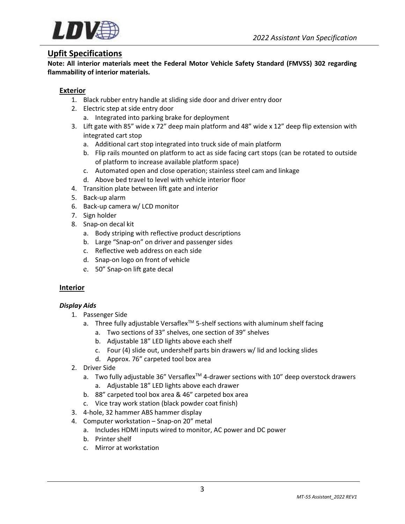

# Upfit Specifications

Note: All interior materials meet the Federal Motor Vehicle Safety Standard (FMVSS) 302 regarding flammability of interior materials.

# Exterior

- 1. Black rubber entry handle at sliding side door and driver entry door
- 2. Electric step at side entry door a. Integrated into parking brake for deployment
- 3. Lift gate with 85" wide x 72" deep main platform and 48" wide x 12" deep flip extension with integrated cart stop
	- a. Additional cart stop integrated into truck side of main platform
	- b. Flip rails mounted on platform to act as side facing cart stops (can be rotated to outside of platform to increase available platform space)
	- c. Automated open and close operation; stainless steel cam and linkage
	- d. Above bed travel to level with vehicle interior floor
- 4. Transition plate between lift gate and interior
- 5. Back-up alarm
- 6. Back-up camera w/ LCD monitor
- 7. Sign holder
- 8. Snap-on decal kit
	- a. Body striping with reflective product descriptions
	- b. Large "Snap-on" on driver and passenger sides
	- c. Reflective web address on each side
	- d. Snap-on logo on front of vehicle
	- e. 50" Snap-on lift gate decal

#### Interior

#### Display Aids

- 1. Passenger Side
	- a. Three fully adjustable Versaflex<sup>™</sup> 5-shelf sections with aluminum shelf facing
		- a. Two sections of 33" shelves, one section of 39" shelves
		- b. Adjustable 18" LED lights above each shelf
		- c. Four (4) slide out, undershelf parts bin drawers w/ lid and locking slides
		- d. Approx. 76" carpeted tool box area
- 2. Driver Side
	- a. Two fully adjustable 36" Versaflex<sup>™</sup> 4-drawer sections with 10" deep overstock drawers a. Adjustable 18" LED lights above each drawer
	- b. 88" carpeted tool box area & 46" carpeted box area
	- c. Vice tray work station (black powder coat finish)
- 3. 4-hole, 32 hammer ABS hammer display
- 4. Computer workstation Snap-on 20" metal
	- a. Includes HDMI inputs wired to monitor, AC power and DC power
	- b. Printer shelf
	- c. Mirror at workstation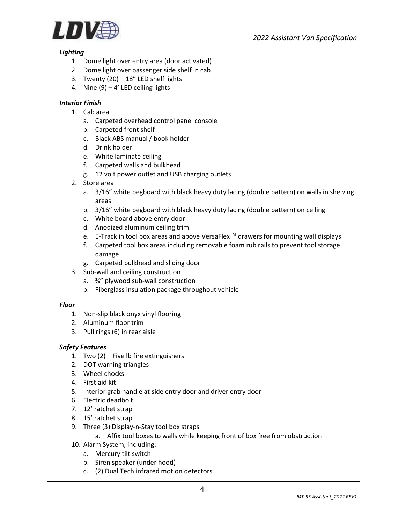

#### Lighting

- 1. Dome light over entry area (door activated)
- 2. Dome light over passenger side shelf in cab
- 3. Twenty  $(20) 18$ " LED shelf lights
- 4. Nine  $(9) 4'$  LED ceiling lights

# Interior Finish

- 1. Cab area
	- a. Carpeted overhead control panel console
	- b. Carpeted front shelf
	- c. Black ABS manual / book holder
	- d. Drink holder
	- e. White laminate ceiling
	- f. Carpeted walls and bulkhead
	- g. 12 volt power outlet and USB charging outlets
- 2. Store area
	- a. 3/16" white pegboard with black heavy duty lacing (double pattern) on walls in shelving areas
	- b. 3/16" white pegboard with black heavy duty lacing (double pattern) on ceiling
	- c. White board above entry door
	- d. Anodized aluminum ceiling trim
	- e. E-Track in tool box areas and above VersaFlex™ drawers for mounting wall displays
	- f. Carpeted tool box areas including removable foam rub rails to prevent tool storage damage
	- g. Carpeted bulkhead and sliding door
- 3. Sub-wall and ceiling construction
	- a. ¾" plywood sub-wall construction
	- b. Fiberglass insulation package throughout vehicle

#### Floor

- 1. Non-slip black onyx vinyl flooring
- 2. Aluminum floor trim
- 3. Pull rings (6) in rear aisle

#### Safety Features

- 1. Two (2) Five lb fire extinguishers
- 2. DOT warning triangles
- 3. Wheel chocks
- 4. First aid kit
- 5. Interior grab handle at side entry door and driver entry door
- 6. Electric deadbolt
- 7. 12' ratchet strap
- 8. 15' ratchet strap
- 9. Three (3) Display-n-Stay tool box straps
	- a. Affix tool boxes to walls while keeping front of box free from obstruction
- 10. Alarm System, including:
	- a. Mercury tilt switch
	- b. Siren speaker (under hood)
	- c. (2) Dual Tech infrared motion detectors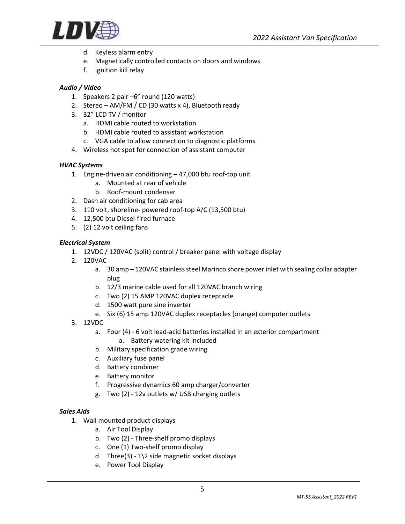

- d. Keyless alarm entry
- e. Magnetically controlled contacts on doors and windows
- f. Ignition kill relay

# Audio / Video

- 1. Speakers 2 pair –6" round (120 watts)
- 2. Stereo AM/FM / CD (30 watts x 4), Bluetooth ready
- 3. 32" LCD TV / monitor
	- a. HDMI cable routed to workstation
	- b. HDMI cable routed to assistant workstation
	- c. VGA cable to allow connection to diagnostic platforms
- 4. Wireless hot spot for connection of assistant computer

#### HVAC Systems

- 1. Engine-driven air conditioning 47,000 btu roof-top unit
	- a. Mounted at rear of vehicle
	- b. Roof-mount condenser
- 2. Dash air conditioning for cab area
- 3. 110 volt, shoreline- powered roof-top A/C (13,500 btu)
- 4. 12,500 btu Diesel-fired furnace
- 5. (2) 12 volt ceiling fans

#### Electrical System

- 1. 12VDC / 120VAC (split) control / breaker panel with voltage display
- 2. 120VAC
	- a. 30 amp 120VAC stainless steel Marinco shore power inlet with sealing collar adapter plug
	- b. 12/3 marine cable used for all 120VAC branch wiring
	- c. Two (2) 15 AMP 120VAC duplex receptacle
	- d. 1500 watt pure sine inverter
	- e. Six (6) 15 amp 120VAC duplex receptacles (orange) computer outlets
- 3. 12VDC
	- a. Four (4) 6 volt lead-acid batteries installed in an exterior compartment a. Battery watering kit included
	- b. Military specification grade wiring
	- c. Auxiliary fuse panel
	- d. Battery combiner
	- e. Battery monitor
	- f. Progressive dynamics 60 amp charger/converter
	- g. Two (2) 12v outlets w/ USB charging outlets

#### Sales Aids

- 1. Wall mounted product displays
	- a. Air Tool Display
	- b. Two (2) Three-shelf promo displays
	- c. One (1) Two-shelf promo display
	- d. Three(3)  $1\overline{\smash{2}}$  side magnetic socket displays
	- e. Power Tool Display